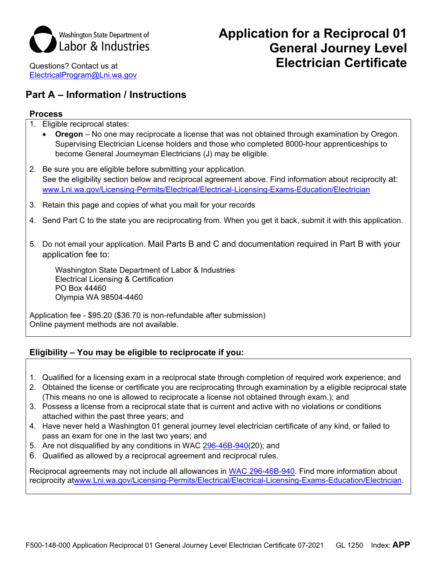

Questions? Contact us at [ElectricalProgram@Lni.wa.gov](mailto:ElectricalProgram@Lni.wa.gov)

# **Application for a Reciprocal 01 General Journey Level Electrician Certificate**

## **Part A – Information / Instructions**

#### **Process**

- 1. Eligible reciprocal states:
	- **Oregon** No one may reciprocate a license that was not obtained through examination by Oregon. Supervising Electrician License holders and those who completed 8000-hour apprenticeships to become General Journeyman Electricians (J) may be eligible.
- 2. Be sure you are eligible before submitting your application. See the eligibility section below and reciprocal agreement above. Find information about reciprocity at: [www.Lni.wa.gov/Licensing-Permits/Electrical/Electrical-Licensing-Exams-Education/Electrician](http://www.lni.wa.gov/Licensing-Permits/Electrical/Electrical-Licensing-Exams-Education/Electrician)
- 3. Retain this page and copies of what you mail for your records
- 4. Send Part C to the state you are reciprocating from. When you get it back, submit it with this application.
- 5. Do not email your application. Mail Parts B and C and documentation required in Part B with your application fee to:

Washington State Department of Labor & Industries Electrical Licensing & Certification PO Box 44460 Olympia WA 98504-4460

Application fee - \$95.20 (\$36.70 is non-refundable after submission) Online payment methods are not available.

### **Eligibility – You may be eligible to reciprocate if you:**

- 1. Qualified for a licensing exam in a reciprocal state through completion of required work experience; and
- 2. Obtained the license or certificate you are reciprocating through examination by a eligible reciprocal state (This means no one is allowed to reciprocate a license not obtained through exam.); and
- 3. Possess a license from a reciprocal state that is current and active with no violations or conditions attached within the past three years; and
- 4. Have never held a Washington 01 general journey level electrician certificate of any kind, or failed to pass an exam for one in the last two years; and
- 5. Are not disqualified by any conditions in WAC [296-46B-940\(](https://app.leg.wa.gov/WAC/default.aspx?cite=296-46B-940)20); and
- 6. Qualified as allowed by a reciprocal agreement and reciprocal rules.

Reciprocal agreements may not include all allowances in [WAC 296-46B-940.](https://app.leg.wa.gov/WAC/default.aspx?cite=296-46B-940) Find more information about reciprocity a[twww.Lni.wa.gov/Licensing-Permits/Electrical/Electrical-Licensing-Exams-Education/Electrician.](http://www.lni.wa.gov/Licensing-Permits/Electrical/Electrical-Licensing-Exams-Education/Electrician)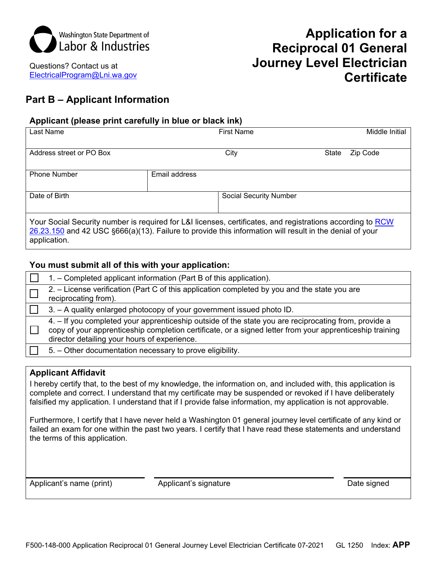

Questions? Contact us at [ElectricalProgram@Lni.wa.gov](mailto:ElectricalProgram@Lni.wa.gov) 

# **Application for a Reciprocal 01 General Journey Level Electrician Certificate**

# **Part B – Applicant Information**

## **Applicant (please print carefully in blue or black ink)**

| Last Name                                                                                                                                                                                                                             | <b>First Name</b>             |       | Middle Initial |
|---------------------------------------------------------------------------------------------------------------------------------------------------------------------------------------------------------------------------------------|-------------------------------|-------|----------------|
| Address street or PO Box                                                                                                                                                                                                              | City                          | State | Zip Code       |
| <b>Phone Number</b>                                                                                                                                                                                                                   | Email address                 |       |                |
| Date of Birth                                                                                                                                                                                                                         | <b>Social Security Number</b> |       |                |
| Your Social Security number is required for L&I licenses, certificates, and registrations according to RCW<br>26.23.150 and 42 USC §666(a)(13). Failure to provide this information will result in the denial of your<br>application. |                               |       |                |

### **You must submit all of this with your application:**

| 1. – Completed applicant information (Part B of this application).                                                                                                                                                                                               |
|------------------------------------------------------------------------------------------------------------------------------------------------------------------------------------------------------------------------------------------------------------------|
| 2. - License verification (Part C of this application completed by you and the state you are<br>reciprocating from).                                                                                                                                             |
| 3. - A quality enlarged photocopy of your government issued photo ID.                                                                                                                                                                                            |
| 4. – If you completed your apprenticeship outside of the state you are reciprocating from, provide a<br>copy of your apprenticeship completion certificate, or a signed letter from your apprenticeship training<br>director detailing your hours of experience. |
| 5. - Other documentation necessary to prove eligibility.                                                                                                                                                                                                         |

### **Applicant Affidavit**

I hereby certify that, to the best of my knowledge, the information on, and included with, this application is complete and correct. I understand that my certificate may be suspended or revoked if I have deliberately falsified my application. I understand that if I provide false information, my application is not approvable.

Furthermore, I certify that I have never held a Washington 01 general journey level certificate of any kind or failed an exam for one within the past two years. I certify that I have read these statements and understand the terms of this application.

Applicant's name (print)  $\qquad \qquad \qquad$  Applicant's signature  $\qquad \qquad \qquad$  Date signed